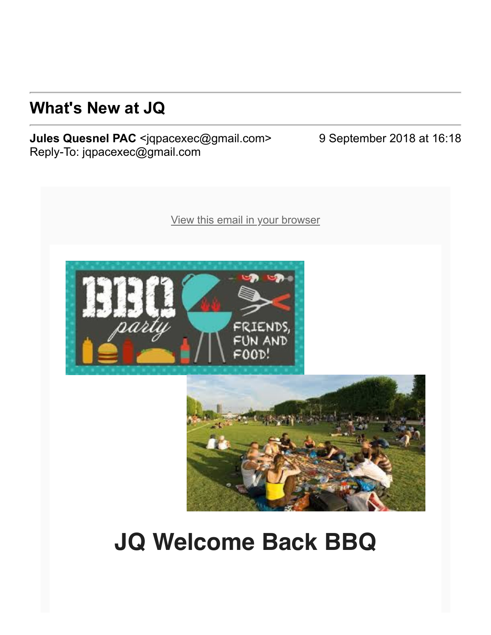## **What's New at JQ**

**Jules Quesnel PAC** <jqpacexec@gmail.com> 9 September 2018 at 16:18 Reply-To: jqpacexec@gmail.com





## **JQ Welcome Back BBQ**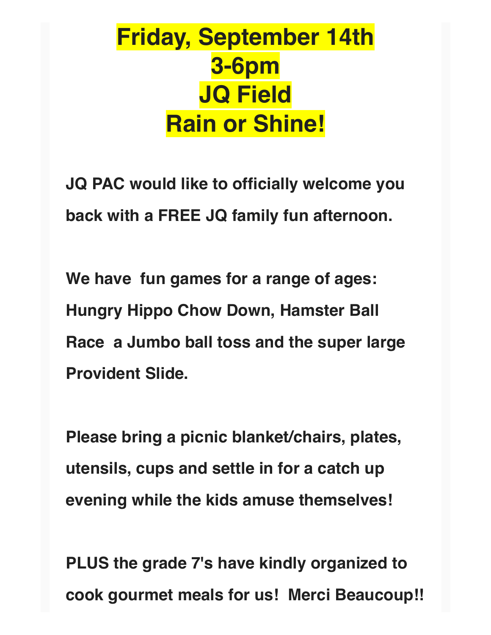## **Friday, September 14th 3-6pm JQ Field Rain or Shine!**

**JQ PAC would like to officially welcome you back with a FREE JQ family fun afternoon.** 

**We have fun games for a range of ages: Hungry Hippo Chow Down, Hamster Ball Race a Jumbo ball toss and the super large Provident Slide.**

**Please bring a picnic blanket/chairs, plates, utensils, cups and settle in for a catch up evening while the kids amuse themselves!**

**PLUS the grade 7's have kindly organized to cook gourmet meals for us! Merci Beaucoup!!**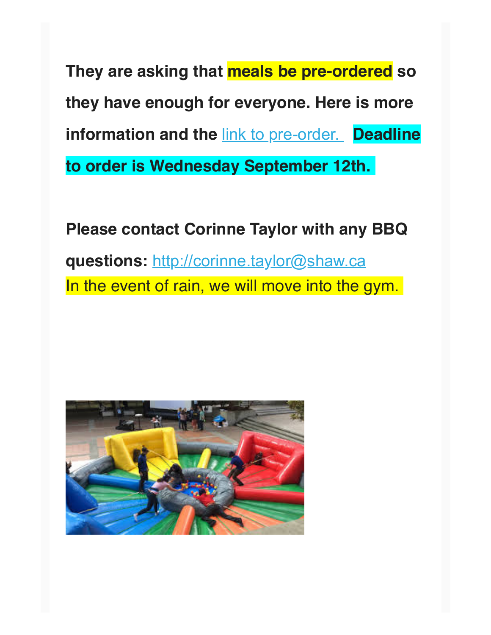**They are asking that meals be pre-ordered so they have enough for everyone. Here is more information and the link to pre-order. Deadline to order is Wednesday September 12th.** 

**Please contact Corinne Taylor with any BBQ questions:** [http://corinne.taylor@shaw.ca](https://julesquesnelpac.us3.list-manage.com/track/click?u=a8e7c9494cc165c2c2cca7d75&id=32a78cf2c7&e=a76be064ee) In the event of rain, we will move into the gym.

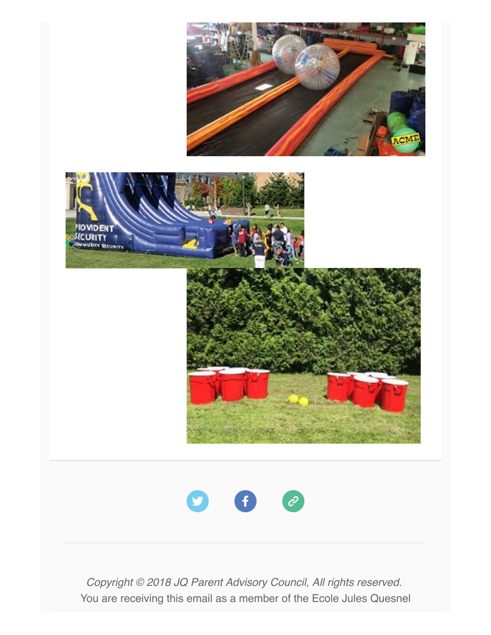

*Copyright © 2018 JQ Parent Advisory Council, All rights reserved.* You are receiving this email as a member of the Ecole Jules Quesnel